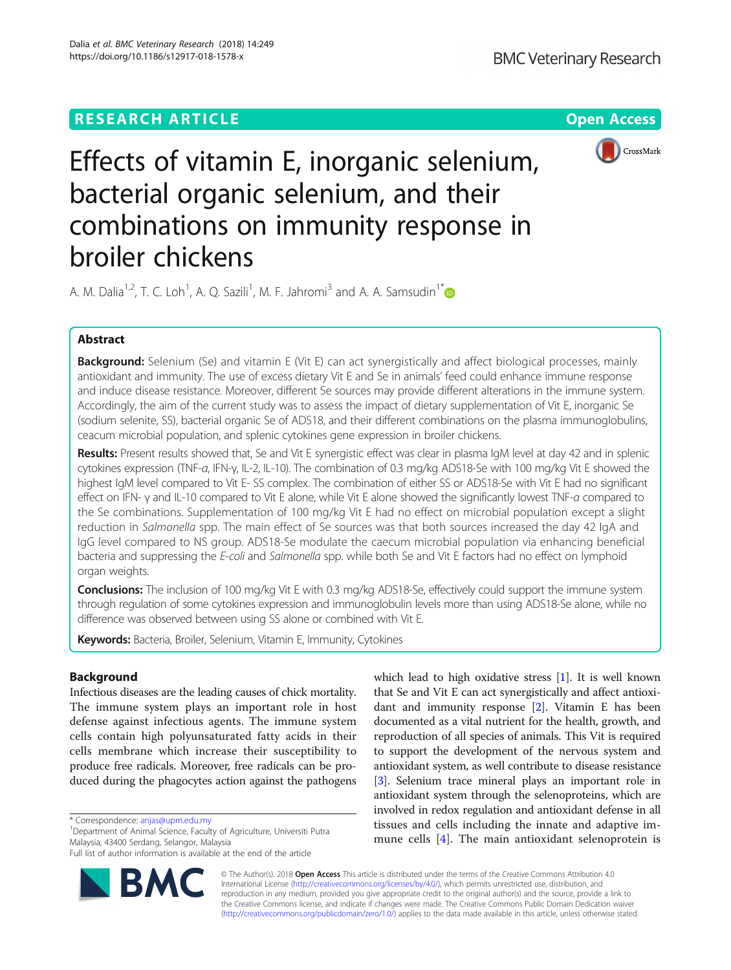## **RESEARCH ARTICLE Example 2018 12:30 THE Open Access**



# Effects of vitamin E, inorganic selenium, bacterial organic selenium, and their combinations on immunity response in broiler chickens

A. M. Dalia<sup>1,2</sup>, T. C. Loh<sup>1</sup>, A. Q. Sazili<sup>1</sup>, M. F. Jahromi<sup>3</sup> and A. A. Samsudin<sup>1[\\*](http://orcid.org/0000-0002-9758-7973)</sup>

## Abstract

Background: Selenium (Se) and vitamin E (Vit E) can act synergistically and affect biological processes, mainly antioxidant and immunity. The use of excess dietary Vit E and Se in animals' feed could enhance immune response and induce disease resistance. Moreover, different Se sources may provide different alterations in the immune system. Accordingly, the aim of the current study was to assess the impact of dietary supplementation of Vit E, inorganic Se (sodium selenite, SS), bacterial organic Se of ADS18, and their different combinations on the plasma immunoglobulins, ceacum microbial population, and splenic cytokines gene expression in broiler chickens.

Results: Present results showed that, Se and Vit E synergistic effect was clear in plasma IgM level at day 42 and in splenic cytokines expression (TNF-α, IFN-γ, IL-2, IL-10). The combination of 0.3 mg/kg ADS18-Se with 100 mg/kg Vit E showed the highest IgM level compared to Vit E- SS complex. The combination of either SS or ADS18-Se with Vit E had no significant effect on IFN- γ and IL-10 compared to Vit E alone, while Vit E alone showed the significantly lowest TNF-α compared to the Se combinations. Supplementation of 100 mg/kg Vit E had no effect on microbial population except a slight reduction in Salmonella spp. The main effect of Se sources was that both sources increased the day 42 IgA and IgG level compared to NS group. ADS18-Se modulate the caecum microbial population via enhancing beneficial bacteria and suppressing the E-coli and Salmonella spp. while both Se and Vit E factors had no effect on lymphoid organ weights.

**Conclusions:** The inclusion of 100 mg/kg Vit E with 0.3 mg/kg ADS18-Se, effectively could support the immune system through regulation of some cytokines expression and immunoglobulin levels more than using ADS18-Se alone, while no difference was observed between using SS alone or combined with Vit E.

**Keywords:** Bacteria, Broiler, Selenium, Vitamin E, Immunity, Cytokines

## Background

Infectious diseases are the leading causes of chick mortality. The immune system plays an important role in host defense against infectious agents. The immune system cells contain high polyunsaturated fatty acids in their cells membrane which increase their susceptibility to produce free radicals. Moreover, free radicals can be produced during the phagocytes action against the pathogens

\* Correspondence: [anjas@upm.edu.my](mailto:anjas@upm.edu.my) <sup>1</sup>

Department of Animal Science, Faculty of Agriculture, Universiti Putra Malaysia, 43400 Serdang, Selangor, Malaysia

Full list of author information is available at the end of the article



which lead to high oxidative stress [\[1](#page-8-0)]. It is well known that Se and Vit E can act synergistically and affect antioxidant and immunity response [\[2](#page-8-0)]. Vitamin E has been documented as a vital nutrient for the health, growth, and reproduction of all species of animals. This Vit is required to support the development of the nervous system and antioxidant system, as well contribute to disease resistance [[3\]](#page-8-0). Selenium trace mineral plays an important role in antioxidant system through the selenoproteins, which are involved in redox regulation and antioxidant defense in all tissues and cells including the innate and adaptive immune cells [[4\]](#page-8-0). The main antioxidant selenoprotein is

© The Author(s). 2018 Open Access This article is distributed under the terms of the Creative Commons Attribution 4.0 International License [\(http://creativecommons.org/licenses/by/4.0/](http://creativecommons.org/licenses/by/4.0/)), which permits unrestricted use, distribution, and reproduction in any medium, provided you give appropriate credit to the original author(s) and the source, provide a link to the Creative Commons license, and indicate if changes were made. The Creative Commons Public Domain Dedication waiver [\(http://creativecommons.org/publicdomain/zero/1.0/](http://creativecommons.org/publicdomain/zero/1.0/)) applies to the data made available in this article, unless otherwise stated.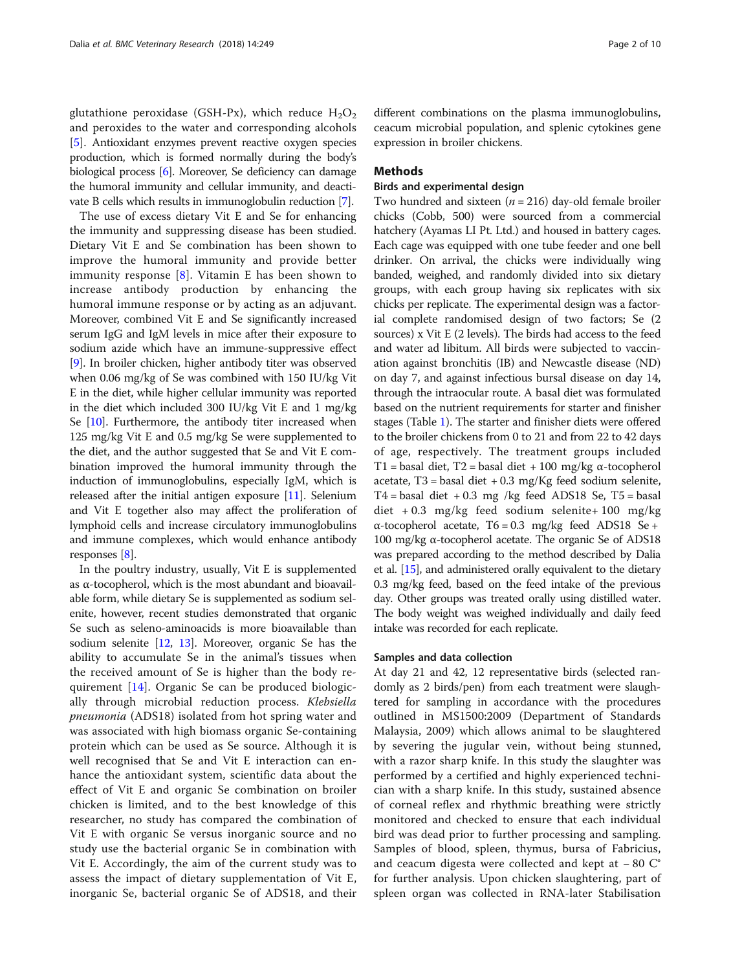glutathione peroxidase (GSH-Px), which reduce  $H_2O_2$ and peroxides to the water and corresponding alcohols [[5\]](#page-8-0). Antioxidant enzymes prevent reactive oxygen species production, which is formed normally during the body's biological process [[6](#page-8-0)]. Moreover, Se deficiency can damage the humoral immunity and cellular immunity, and deactivate B cells which results in immunoglobulin reduction [[7](#page-8-0)].

The use of excess dietary Vit E and Se for enhancing the immunity and suppressing disease has been studied. Dietary Vit E and Se combination has been shown to improve the humoral immunity and provide better immunity response  $[8]$  $[8]$ . Vitamin E has been shown to increase antibody production by enhancing the humoral immune response or by acting as an adjuvant. Moreover, combined Vit E and Se significantly increased serum IgG and IgM levels in mice after their exposure to sodium azide which have an immune-suppressive effect [[9\]](#page-8-0). In broiler chicken, higher antibody titer was observed when 0.06 mg/kg of Se was combined with 150 IU/kg Vit E in the diet, while higher cellular immunity was reported in the diet which included 300 IU/kg Vit E and 1 mg/kg Se [\[10\]](#page-8-0). Furthermore, the antibody titer increased when 125 mg/kg Vit E and 0.5 mg/kg Se were supplemented to the diet, and the author suggested that Se and Vit E combination improved the humoral immunity through the induction of immunoglobulins, especially IgM, which is released after the initial antigen exposure [[11](#page-8-0)]. Selenium and Vit E together also may affect the proliferation of lymphoid cells and increase circulatory immunoglobulins and immune complexes, which would enhance antibody responses [\[8](#page-8-0)].

In the poultry industry, usually, Vit E is supplemented as α-tocopherol, which is the most abundant and bioavailable form, while dietary Se is supplemented as sodium selenite, however, recent studies demonstrated that organic Se such as seleno-aminoacids is more bioavailable than sodium selenite [\[12,](#page-8-0) [13](#page-8-0)]. Moreover, organic Se has the ability to accumulate Se in the animal's tissues when the received amount of Se is higher than the body requirement [\[14](#page-8-0)]. Organic Se can be produced biologically through microbial reduction process. Klebsiella pneumonia (ADS18) isolated from hot spring water and was associated with high biomass organic Se-containing protein which can be used as Se source. Although it is well recognised that Se and Vit E interaction can enhance the antioxidant system, scientific data about the effect of Vit E and organic Se combination on broiler chicken is limited, and to the best knowledge of this researcher, no study has compared the combination of Vit E with organic Se versus inorganic source and no study use the bacterial organic Se in combination with Vit E. Accordingly, the aim of the current study was to assess the impact of dietary supplementation of Vit E, inorganic Se, bacterial organic Se of ADS18, and their different combinations on the plasma immunoglobulins, ceacum microbial population, and splenic cytokines gene expression in broiler chickens.

## **Methods**

## Birds and experimental design

Two hundred and sixteen ( $n = 216$ ) day-old female broiler chicks (Cobb, 500) were sourced from a commercial hatchery (Ayamas LI Pt. Ltd.) and housed in battery cages. Each cage was equipped with one tube feeder and one bell drinker. On arrival, the chicks were individually wing banded, weighed, and randomly divided into six dietary groups, with each group having six replicates with six chicks per replicate. The experimental design was a factorial complete randomised design of two factors; Se (2 sources) x Vit E (2 levels). The birds had access to the feed and water ad libitum. All birds were subjected to vaccination against bronchitis (IB) and Newcastle disease (ND) on day 7, and against infectious bursal disease on day 14, through the intraocular route. A basal diet was formulated based on the nutrient requirements for starter and finisher stages (Table [1](#page-2-0)). The starter and finisher diets were offered to the broiler chickens from 0 to 21 and from 22 to 42 days of age, respectively. The treatment groups included T1 = basal diet, T2 = basal diet + 100 mg/kg  $\alpha$ -tocopherol acetate,  $T3$  = basal diet + 0.3 mg/Kg feed sodium selenite,  $T4 =$  basal diet  $+0.3$  mg /kg feed ADS18 Se, T5 = basal diet + 0.3 mg/kg feed sodium selenite+ 100 mg/kg α-tocopherol acetate, T6 = 0.3 mg/kg feed ADS18 Se + 100 mg/kg α-tocopherol acetate. The organic Se of ADS18 was prepared according to the method described by Dalia et al. [\[15\]](#page-8-0), and administered orally equivalent to the dietary 0.3 mg/kg feed, based on the feed intake of the previous day. Other groups was treated orally using distilled water. The body weight was weighed individually and daily feed intake was recorded for each replicate.

### Samples and data collection

At day 21 and 42, 12 representative birds (selected randomly as 2 birds/pen) from each treatment were slaughtered for sampling in accordance with the procedures outlined in MS1500:2009 (Department of Standards Malaysia, 2009) which allows animal to be slaughtered by severing the jugular vein, without being stunned, with a razor sharp knife. In this study the slaughter was performed by a certified and highly experienced technician with a sharp knife. In this study, sustained absence of corneal reflex and rhythmic breathing were strictly monitored and checked to ensure that each individual bird was dead prior to further processing and sampling. Samples of blood, spleen, thymus, bursa of Fabricius, and ceacum digesta were collected and kept at − 80 C° for further analysis. Upon chicken slaughtering, part of spleen organ was collected in RNA-later Stabilisation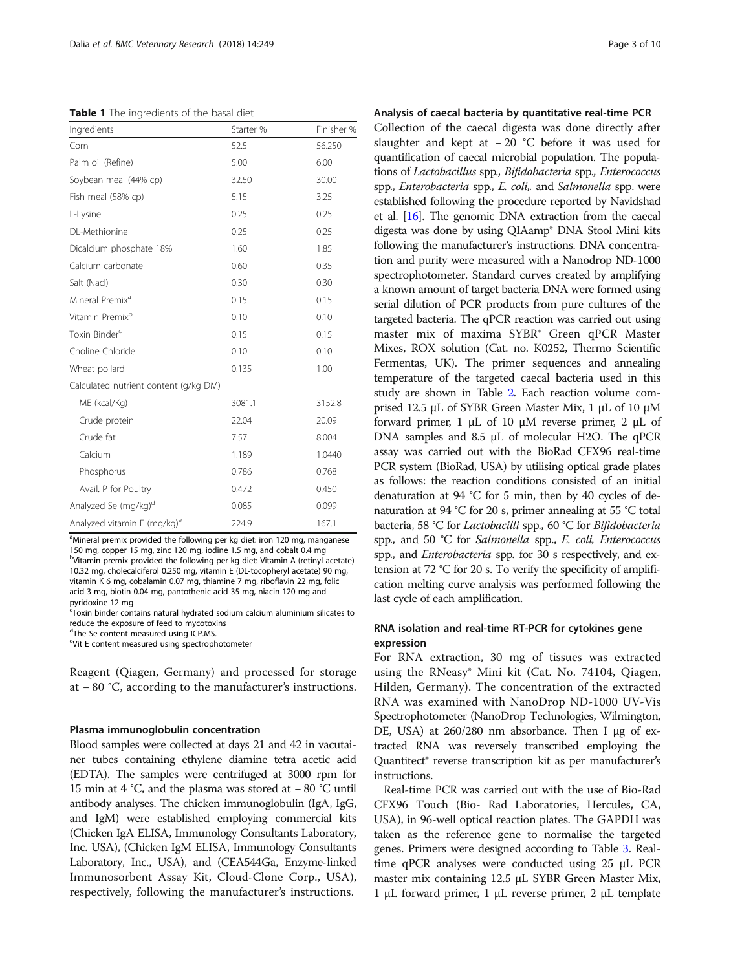<span id="page-2-0"></span>Table 1 The ingredients of the basal diet

| Starter % | Finisher % |
|-----------|------------|
| 52.5      | 56.250     |
| 5.00      | 6.00       |
| 32.50     | 30.00      |
| 5.15      | 3.25       |
| 0.25      | 0.25       |
| 0.25      | 0.25       |
| 1.60      | 1.85       |
| 0.60      | 0.35       |
| 0.30      | 0.30       |
| 0.15      | 0.15       |
| 0.10      | 0.10       |
| 0.15      | 0.15       |
| 0.10      | 0.10       |
| 0.135     | 1.00       |
|           |            |
| 3081.1    | 3152.8     |
| 22.04     | 20.09      |
| 7.57      | 8.004      |
| 1.189     | 1.0440     |
| 0.786     | 0.768      |
| 0.472     | 0.450      |
| 0.085     | 0.099      |
| 224.9     | 167.1      |
|           |            |

<sup>a</sup>Mineral premix provided the following per kg diet: iron 120 mg, manganese 150 mg, copper 15 mg, zinc 120 mg, iodine 1.5 mg, and cobalt 0.4 mg <sup>b</sup>Vitamin premix provided the following per kg diet: Vitamin A (retinyl acetate) 10.32 mg, cholecalciferol 0.250 mg, vitamin E (DL-tocopheryl acetate) 90 mg, vitamin K 6 mg, cobalamin 0.07 mg, thiamine 7 mg, riboflavin 22 mg, folic acid 3 mg, biotin 0.04 mg, pantothenic acid 35 mg, niacin 120 mg and pyridoxine 12 mg

.<br>Toxin binder contains natural hydrated sodium calcium aluminium silicates to reduce the exposure of feed to mycotoxins

<sup>d</sup>The Se content measured using ICP.MS.

e Vit E content measured using spectrophotometer

Reagent (Qiagen, Germany) and processed for storage at − 80 °C, according to the manufacturer's instructions.

#### Plasma immunoglobulin concentration

Blood samples were collected at days 21 and 42 in vacutainer tubes containing ethylene diamine tetra acetic acid (EDTA). The samples were centrifuged at 3000 rpm for 15 min at 4 °C, and the plasma was stored at − 80 °C until antibody analyses. The chicken immunoglobulin (IgA, IgG, and IgM) were established employing commercial kits (Chicken IgA ELISA, Immunology Consultants Laboratory, Inc. USA), (Chicken IgM ELISA, Immunology Consultants Laboratory, Inc., USA), and (CEA544Ga, Enzyme-linked Immunosorbent Assay Kit, Cloud-Clone Corp., USA), respectively, following the manufacturer's instructions.

## Analysis of caecal bacteria by quantitative real-time PCR

Collection of the caecal digesta was done directly after slaughter and kept at − 20 °C before it was used for quantification of caecal microbial population. The populations of Lactobacillus spp., Bifidobacteria spp., Enterococcus spp., *Enterobacteria* spp., *E. coli*,. and *Salmonella* spp. were established following the procedure reported by Navidshad et al. [\[16\]](#page-8-0). The genomic DNA extraction from the caecal digesta was done by using QIAamp® DNA Stool Mini kits following the manufacturer's instructions. DNA concentration and purity were measured with a Nanodrop ND-1000 spectrophotometer. Standard curves created by amplifying a known amount of target bacteria DNA were formed using serial dilution of PCR products from pure cultures of the targeted bacteria. The qPCR reaction was carried out using master mix of maxima SYBR® Green qPCR Master Mixes, ROX solution (Cat. no. K0252, Thermo Scientific Fermentas, UK). The primer sequences and annealing temperature of the targeted caecal bacteria used in this study are shown in Table [2.](#page-3-0) Each reaction volume comprised 12.5 μL of SYBR Green Master Mix, 1 μL of 10 μM forward primer, 1 μL of 10 μM reverse primer, 2 μL of DNA samples and 8.5 μL of molecular H2O. The qPCR assay was carried out with the BioRad CFX96 real-time PCR system (BioRad, USA) by utilising optical grade plates as follows: the reaction conditions consisted of an initial denaturation at 94 °C for 5 min, then by 40 cycles of denaturation at 94 °C for 20 s, primer annealing at 55 °C total bacteria, 58 °C for Lactobacilli spp., 60 °C for Bifidobacteria spp., and 50 °C for Salmonella spp., E. coli, Enterococcus spp., and Enterobacteria spp. for 30 s respectively, and extension at 72 °C for 20 s. To verify the specificity of amplification melting curve analysis was performed following the last cycle of each amplification.

## RNA isolation and real-time RT-PCR for cytokines gene expression

For RNA extraction, 30 mg of tissues was extracted using the RNeasy® Mini kit (Cat. No. 74104, Qiagen, Hilden, Germany). The concentration of the extracted RNA was examined with NanoDrop ND-1000 UV-Vis Spectrophotometer (NanoDrop Technologies, Wilmington, DE, USA) at 260/280 nm absorbance. Then I μg of extracted RNA was reversely transcribed employing the Quantitect® reverse transcription kit as per manufacturer's instructions.

Real-time PCR was carried out with the use of Bio-Rad CFX96 Touch (Bio- Rad Laboratories, Hercules, CA, USA), in 96-well optical reaction plates. The GAPDH was taken as the reference gene to normalise the targeted genes. Primers were designed according to Table [3](#page-3-0). Realtime qPCR analyses were conducted using 25 μL PCR master mix containing 12.5 μL SYBR Green Master Mix, 1 μL forward primer, 1 μL reverse primer, 2 μL template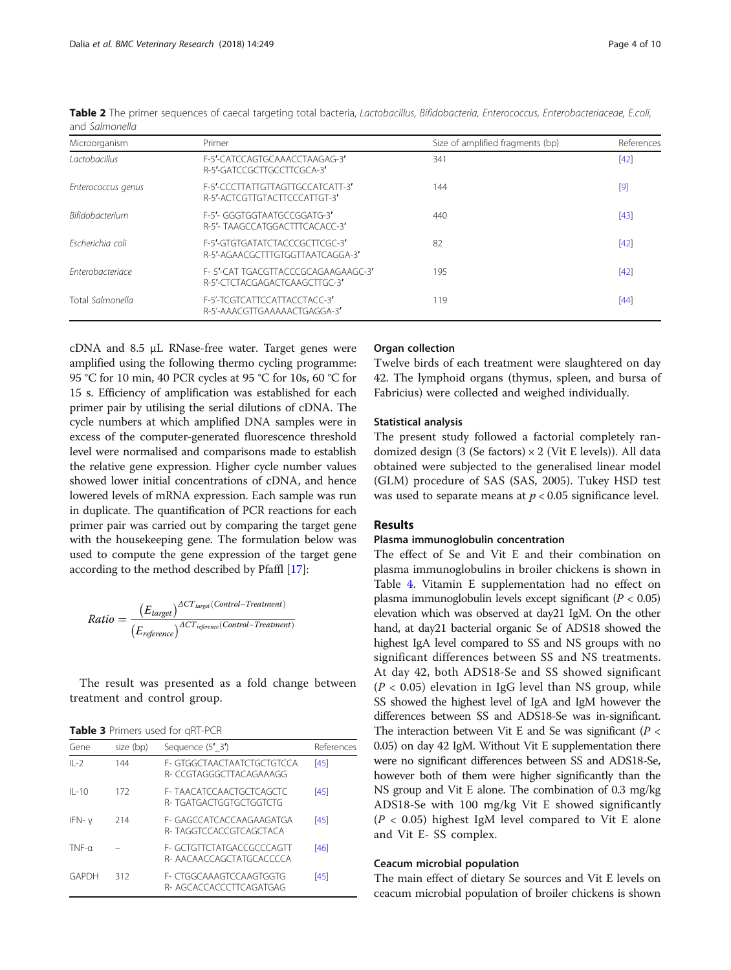| Microorganism           | Primer                                                              | Size of amplified fragments (bp) | References |
|-------------------------|---------------------------------------------------------------------|----------------------------------|------------|
| <i>Lactobacillus</i>    | F-5'-CATCCAGTGCAAACCTAAGAG-3'<br>R-5'-GATCCGCTTGCCTTCGCA-3'         | 341                              | [42]       |
| Enterococcus genus      | F-5'-CCCTTATTGTTAGTTGCCATCATT-3'<br>R-5'-ACTCGTTGTACTTCCCATTGT-3'   | 144                              | $[9]$      |
| <b>Bifidobacterium</b>  | F-5'- GGGTGGTAATGCCGGATG-3'<br>R-5'- TAAGCCATGGACTTTCACACC-3'       | 440                              | [43]       |
| Escherichia coli        | F-5'-GIGIGATATCTACCCGCTICGC-3'<br>R-5'-AGAACGCTTTGTGGTTAATCAGGA-3'  | 82                               | [42]       |
| <b>Enterobacteriace</b> | F-5'-CAT TGACGTTACCCGCAGAAGAAGC-3'<br>R-5'-CTCTACGAGACTCAAGCTTGC-3' | 195                              | [42]       |
| Total Salmonella        | F-5'-TCGTCATTCCATTACCTACC-3'<br>R-5'-AAACGTTGAAAAACTGAGGA-3'        | 119                              | [44]       |

<span id="page-3-0"></span>Table 2 The primer sequences of caecal targeting total bacteria, Lactobacillus, Bifidobacteria, Enterococcus, Enterobacteriaceae, E.coli, and Salmonella

cDNA and 8.5 μL RNase-free water. Target genes were amplified using the following thermo cycling programme: 95 °C for 10 min, 40 PCR cycles at 95 °C for 10s, 60 °C for 15 s. Efficiency of amplification was established for each primer pair by utilising the serial dilutions of cDNA. The cycle numbers at which amplified DNA samples were in excess of the computer-generated fluorescence threshold level were normalised and comparisons made to establish the relative gene expression. Higher cycle number values showed lower initial concentrations of cDNA, and hence lowered levels of mRNA expression. Each sample was run in duplicate. The quantification of PCR reactions for each primer pair was carried out by comparing the target gene with the housekeeping gene. The formulation below was used to compute the gene expression of the target gene according to the method described by Pfaffl [[17](#page-8-0)]:

$$
Ratio = \frac{{\left(E_{target}\right)}^{ACT_{target}(Control- Treatment)}}{{\left(E_{reference}\right)}^{ACT_{reference}(Control- Treatment)}}
$$

The result was presented as a fold change between treatment and control group.

| Table 3 Primers used for qRT-PCR |
|----------------------------------|
|----------------------------------|

| $\blacksquare$ |                                                            |            |  |  |  |  |  |  |
|----------------|------------------------------------------------------------|------------|--|--|--|--|--|--|
| size (bp)      | Sequence (5' 3')                                           | References |  |  |  |  |  |  |
| 144            | F- GTGGCTAACTAATCTGCTGTCCA<br>R- CCGTAGGGCTTACAGAAAGG      | [45]       |  |  |  |  |  |  |
| 172            | <b>F- TAACATCCAACTGCTCAGCTC</b><br>R- TGATGACTGGTGCTGGTCTG | [45]       |  |  |  |  |  |  |
| 214            | F- GAGCCATCACCAAGAAGATGA<br>R- TAGGTCCACCGTCAGCTACA        | [45]       |  |  |  |  |  |  |
|                | F- GCTGTTCTATGACCGCCCAGTT<br>R-AACAACCAGCTATGCACCCCA       | [46]       |  |  |  |  |  |  |
| 312            | F- CTGGCAAAGTCCAAGTGGTG<br>R-AGCACCACCCTTCAGATGAG          | [45]       |  |  |  |  |  |  |
|                |                                                            |            |  |  |  |  |  |  |

## Organ collection

Twelve birds of each treatment were slaughtered on day 42. The lymphoid organs (thymus, spleen, and bursa of Fabricius) were collected and weighed individually.

### Statistical analysis

The present study followed a factorial completely randomized design  $(3 \text{ (Se factors)} \times 2 \text{ (Vit E levels)})$ . All data obtained were subjected to the generalised linear model (GLM) procedure of SAS (SAS, 2005). Tukey HSD test was used to separate means at  $p < 0.05$  significance level.

## Results

#### Plasma immunoglobulin concentration

The effect of Se and Vit E and their combination on plasma immunoglobulins in broiler chickens is shown in Table [4.](#page-4-0) Vitamin E supplementation had no effect on plasma immunoglobulin levels except significant ( $P < 0.05$ ) elevation which was observed at day21 IgM. On the other hand, at day21 bacterial organic Se of ADS18 showed the highest IgA level compared to SS and NS groups with no significant differences between SS and NS treatments. At day 42, both ADS18-Se and SS showed significant  $(P < 0.05)$  elevation in IgG level than NS group, while SS showed the highest level of IgA and IgM however the differences between SS and ADS18-Se was in-significant. The interaction between Vit E and Se was significant ( $P <$ 0.05) on day 42 IgM. Without Vit E supplementation there were no significant differences between SS and ADS18-Se, however both of them were higher significantly than the NS group and Vit E alone. The combination of 0.3 mg/kg ADS18-Se with 100 mg/kg Vit E showed significantly  $(P < 0.05)$  highest IgM level compared to Vit E alone and Vit E- SS complex.

## Ceacum microbial population

The main effect of dietary Se sources and Vit E levels on ceacum microbial population of broiler chickens is shown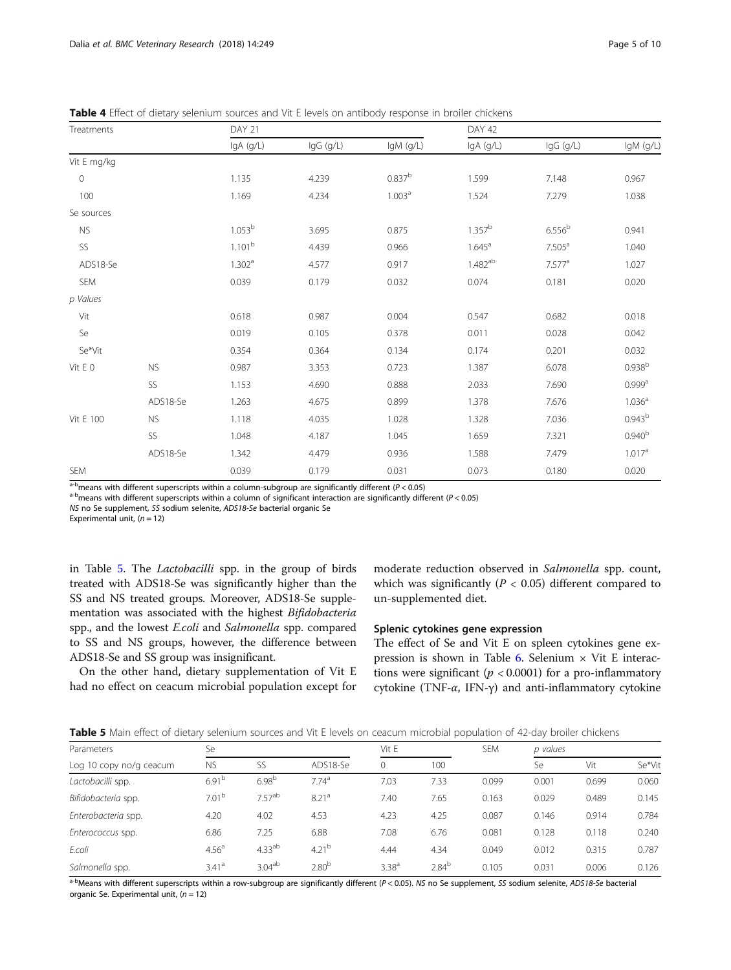| Treatments  |           | DAY 21             |           |                    | DAY 42             |                    |                      |
|-------------|-----------|--------------------|-----------|--------------------|--------------------|--------------------|----------------------|
|             |           | IgA (g/L)          | IgG (g/L) | IgM (g/L)          | IgA (g/L)          | IgG (g/L)          | IgM (g/L)            |
| Vit E mg/kg |           |                    |           |                    |                    |                    |                      |
| $\circ$     |           | 1.135              | 4.239     | $0.837^{b}$        | 1.599              | 7.148              | 0.967                |
| 100         |           | 1.169              | 4.234     | 1.003 <sup>a</sup> | 1.524              | 7.279              | 1.038                |
| Se sources  |           |                    |           |                    |                    |                    |                      |
| <b>NS</b>   |           | 1.053 <sup>b</sup> | 3.695     | 0.875              | 1.357 <sup>b</sup> | 6.556 <sup>b</sup> | 0.941                |
| SS          |           | 1.101 <sup>b</sup> | 4.439     | 0.966              | $1.645^{\text{a}}$ | 7.505 <sup>a</sup> | 1.040                |
| ADS18-Se    |           | 1.302 <sup>a</sup> | 4.577     | 0.917              | $1.482^{ab}$       | 7.577 <sup>a</sup> | 1.027                |
| SEM         |           | 0.039              | 0.179     | 0.032              | 0.074              | 0.181              | 0.020                |
| p Values    |           |                    |           |                    |                    |                    |                      |
| Vit         |           | 0.618              | 0.987     | 0.004              | 0.547              | 0.682              | 0.018                |
| Se          |           | 0.019              | 0.105     | 0.378              | 0.011              | 0.028              | 0.042                |
| Se*Vit      |           | 0.354              | 0.364     | 0.134              | 0.174              | 0.201              | 0.032                |
| Vit E 0     | <b>NS</b> | 0.987              | 3.353     | 0.723              | 1.387              | 6.078              | $0.938^{b}$          |
|             | SS        | 1.153              | 4.690     | 0.888              | 2.033              | 7.690              | $0.999$ <sup>a</sup> |
|             | ADS18-Se  | 1.263              | 4.675     | 0.899              | 1.378              | 7.676              | 1.036 <sup>a</sup>   |
| Vit E 100   | <b>NS</b> | 1.118              | 4.035     | 1.028              | 1.328              | 7.036              | 0.943 <sup>b</sup>   |
|             | SS        | 1.048              | 4.187     | 1.045              | 1.659              | 7.321              | 0.940 <sup>b</sup>   |
|             | ADS18-Se  | 1.342              | 4.479     | 0.936              | 1.588              | 7.479              | 1.017a               |
| SEM         |           | 0.039              | 0.179     | 0.031              | 0.073              | 0.180              | 0.020                |

<span id="page-4-0"></span>Table 4 Effect of dietary selenium sources and Vit E levels on antibody response in broiler chickens

 $a^{-b}$  means with different superscripts within a column-subgroup are significantly different (P < 0.05) a<sup>-b</sup> means with different superscripts within a column of significant interaction are significantly different (P <

NS no Se supplement, SS sodium selenite, ADS18-Se bacterial organic Se

Experimental unit,  $(n = 12)$ 

in Table 5. The Lactobacilli spp. in the group of birds treated with ADS18-Se was significantly higher than the SS and NS treated groups. Moreover, ADS18-Se supplementation was associated with the highest Bifidobacteria spp., and the lowest E.coli and Salmonella spp. compared to SS and NS groups, however, the difference between ADS18-Se and SS group was insignificant.

On the other hand, dietary supplementation of Vit E had no effect on ceacum microbial population except for moderate reduction observed in Salmonella spp. count, which was significantly ( $P < 0.05$ ) different compared to un-supplemented diet.

## Splenic cytokines gene expression

The effect of Se and Vit E on spleen cytokines gene ex-pression is shown in Table [6.](#page-5-0) Selenium  $\times$  Vit E interactions were significant ( $p < 0.0001$ ) for a pro-inflammatory cytokine (TNF-α, IFN-γ) and anti-inflammatory cytokine

| Table 5 Main effect of dietary selenium sources and Vit E levels on ceacum microbial population of 42-day broiler chickens |  |
|----------------------------------------------------------------------------------------------------------------------------|--|
|----------------------------------------------------------------------------------------------------------------------------|--|

| Parameters              | Se                |                    |                   | Vit E             |            | <b>SEM</b> | p values |       |        |  |
|-------------------------|-------------------|--------------------|-------------------|-------------------|------------|------------|----------|-------|--------|--|
| Log 10 copy no/g ceacum | <b>NS</b>         | SS                 | ADS18-Se          | $\circ$           | 100        |            | Se       | Vit   | Se*Vit |  |
| Lactobacilli spp.       | $6.91^{b}$        | 6.98 <sup>b</sup>  | 7.74 <sup>a</sup> | 7.03              | 7.33       | 0.099      | 0.001    | 0.699 | 0.060  |  |
| Bifidobacteria spp.     | 7.01 <sup>b</sup> | $7.57^{ab}$        | 8.21 <sup>a</sup> | 7.40              | 7.65       | 0.163      | 0.029    | 0.489 | 0.145  |  |
| Enterobacteria spp.     | 4.20              | 4.02               | 4.53              | 4.23              | 4.25       | 0.087      | 0.146    | 0.914 | 0.784  |  |
| Enterococcus spp.       | 6.86              | 7.25               | 6.88              | 7.08              | 6.76       | 0.081      | 0.128    | 0.118 | 0.240  |  |
| E.coli                  | 4.56 <sup>a</sup> | 4.33 <sup>ab</sup> | $4.21^{b}$        | 4.44              | 4.34       | 0.049      | 0.012    | 0.315 | 0.787  |  |
| Salmonella spp.         | 3.41 <sup>a</sup> | 3.04 <sup>ab</sup> | 2.80 <sup>b</sup> | 3.38 <sup>a</sup> | $2.84^{b}$ | 0.105      | 0.031    | 0.006 | 0.126  |  |

 $a-b$ Means with different superscripts within a row-subgroup are significantly different (P < 0.05). NS no Se supplement, SS sodium selenite, ADS18-Se bacterial organic Se. Experimental unit,  $(n = 12)$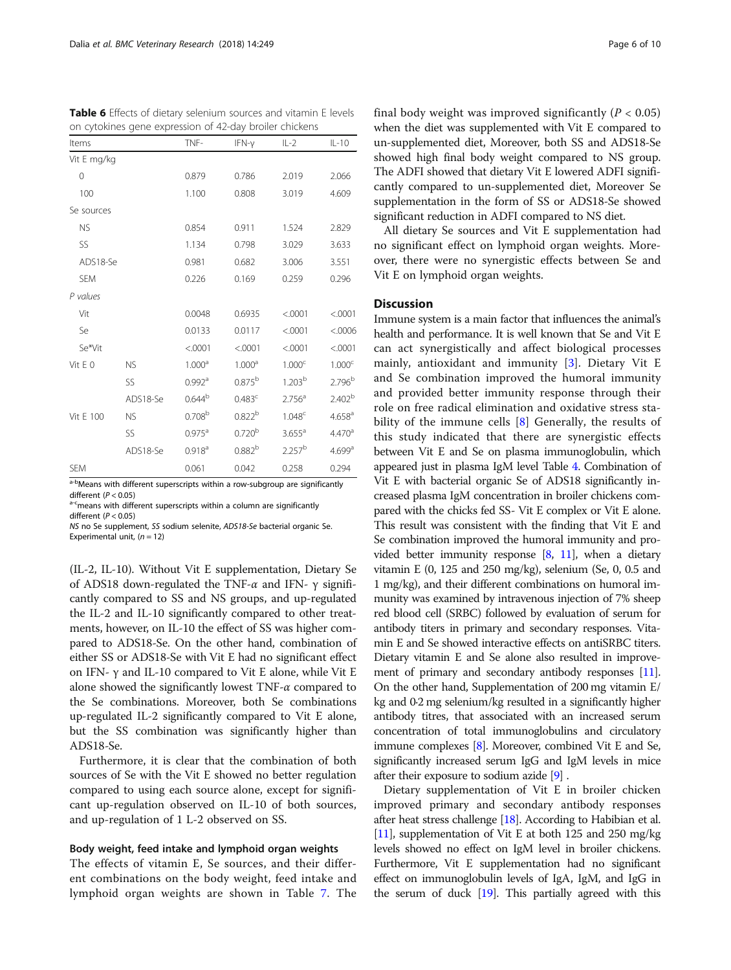| Items       |           | TNF-                 | $IFN-\gamma$       | $IL-2$               | $IL-10$              |
|-------------|-----------|----------------------|--------------------|----------------------|----------------------|
| Vit E mg/kg |           |                      |                    |                      |                      |
| $\Omega$    |           | 0.879                | 0.786              | 2.019                | 2.066                |
| 100         |           | 1.100                | 0.808              | 3.019                | 4.609                |
| Se sources  |           |                      |                    |                      |                      |
| <b>NS</b>   |           | 0.854                | 0.911              | 1.524                | 2.829                |
| SS          |           | 1.134                | 0.798              | 3.029                | 3.633                |
| ADS18-Se    |           | 0.981                | 0.682              | 3.006                | 3.551                |
| <b>SEM</b>  |           | 0.226                | 0.169              | 0.259                | 0.296                |
| P values    |           |                      |                    |                      |                      |
| Vit         |           | 0.0048               | 0.6935             | < .0001              | < .0001              |
| Se          |           | 0.0133               | 0.0117             | < .0001              | < 0006               |
| Se*Vit      |           | < .0001              | < .0001            | < .0001              | < .0001              |
| Vit E 0     | <b>NS</b> | 1.000 <sup>a</sup>   | 1.000 <sup>a</sup> | 1.000 <sup>c</sup>   | 1.000 <sup>c</sup>   |
|             | SS        | $0.992$ <sup>a</sup> | $0.875^{b}$        | 1.203 <sup>b</sup>   | $2.796^{b}$          |
|             | ADS18-Se  | $0.644^{b}$          | 0.483 <sup>c</sup> | 2.756 <sup>a</sup>   | 2.402 <sup>b</sup>   |
| Vit E 100   | <b>NS</b> | 0.708 <sup>b</sup>   | 0.822 <sup>b</sup> | 1.048 <sup>c</sup>   | 4.658 <sup>a</sup>   |
|             | SS        | $0.975$ <sup>a</sup> | 0.720 <sup>b</sup> | $3.655$ <sup>a</sup> | 4.470 <sup>a</sup>   |
|             | ADS18-Se  | 0.918 <sup>a</sup>   | $0.882^{b}$        | 2.257 <sup>b</sup>   | $4.699$ <sup>a</sup> |
| <b>SEM</b>  |           | 0.061                | 0.042              | 0.258                | 0.294                |

<span id="page-5-0"></span>Table 6 Effects of dietary selenium sources and vitamin E levels on cytokines gene expression of 42-day broiler chickens

<sup>a-b</sup>Means with different superscripts within a row-subgroup are significantly different ( $P < 0.05$ )  $\mathbb{P}^{\epsilon}$ means with different superscripts within a column are significantly different  $(P < 0.05)$ 

NS no Se supplement, SS sodium selenite, ADS18-Se bacterial organic Se. Experimental unit,  $(n = 12)$ 

(IL-2, IL-10). Without Vit E supplementation, Dietary Se of ADS18 down-regulated the TNF-α and IFN- γ significantly compared to SS and NS groups, and up-regulated the IL-2 and IL-10 significantly compared to other treatments, however, on IL-10 the effect of SS was higher compared to ADS18-Se. On the other hand, combination of either SS or ADS18-Se with Vit E had no significant effect on IFN- γ and IL-10 compared to Vit E alone, while Vit E alone showed the significantly lowest TNF- $\alpha$  compared to the Se combinations. Moreover, both Se combinations up-regulated IL-2 significantly compared to Vit E alone, but the SS combination was significantly higher than ADS18-Se.

Furthermore, it is clear that the combination of both sources of Se with the Vit E showed no better regulation compared to using each source alone, except for significant up-regulation observed on IL-10 of both sources, and up-regulation of 1 L-2 observed on SS.

#### Body weight, feed intake and lymphoid organ weights

The effects of vitamin E, Se sources, and their different combinations on the body weight, feed intake and lymphoid organ weights are shown in Table [7](#page-6-0). The final body weight was improved significantly ( $P < 0.05$ ) when the diet was supplemented with Vit E compared to un-supplemented diet, Moreover, both SS and ADS18-Se showed high final body weight compared to NS group. The ADFI showed that dietary Vit E lowered ADFI significantly compared to un-supplemented diet, Moreover Se supplementation in the form of SS or ADS18-Se showed significant reduction in ADFI compared to NS diet.

All dietary Se sources and Vit E supplementation had no significant effect on lymphoid organ weights. Moreover, there were no synergistic effects between Se and Vit E on lymphoid organ weights.

## **Discussion**

Immune system is a main factor that influences the animal's health and performance. It is well known that Se and Vit E can act synergistically and affect biological processes mainly, antioxidant and immunity [\[3](#page-8-0)]. Dietary Vit E and Se combination improved the humoral immunity and provided better immunity response through their role on free radical elimination and oxidative stress stability of the immune cells [\[8](#page-8-0)] Generally, the results of this study indicated that there are synergistic effects between Vit E and Se on plasma immunoglobulin, which appeared just in plasma IgM level Table [4](#page-4-0). Combination of Vit E with bacterial organic Se of ADS18 significantly increased plasma IgM concentration in broiler chickens compared with the chicks fed SS- Vit E complex or Vit E alone. This result was consistent with the finding that Vit E and Se combination improved the humoral immunity and provided better immunity response [[8](#page-8-0), [11\]](#page-8-0), when a dietary vitamin E (0, 125 and 250 mg/kg), selenium (Se, 0, 0.5 and 1 mg/kg), and their different combinations on humoral immunity was examined by intravenous injection of 7% sheep red blood cell (SRBC) followed by evaluation of serum for antibody titers in primary and secondary responses. Vitamin E and Se showed interactive effects on antiSRBC titers. Dietary vitamin E and Se alone also resulted in improve-ment of primary and secondary antibody responses [\[11](#page-8-0)]. On the other hand, Supplementation of 200 mg vitamin E/ kg and 0·2 mg selenium/kg resulted in a significantly higher antibody titres, that associated with an increased serum concentration of total immunoglobulins and circulatory immune complexes [\[8\]](#page-8-0). Moreover, combined Vit E and Se, significantly increased serum IgG and IgM levels in mice after their exposure to sodium azide [\[9](#page-8-0)] .

Dietary supplementation of Vit E in broiler chicken improved primary and secondary antibody responses after heat stress challenge [[18](#page-8-0)]. According to Habibian et al. [[11](#page-8-0)], supplementation of Vit E at both 125 and 250 mg/kg levels showed no effect on IgM level in broiler chickens. Furthermore, Vit E supplementation had no significant effect on immunoglobulin levels of IgA, IgM, and IgG in the serum of duck [\[19\]](#page-8-0). This partially agreed with this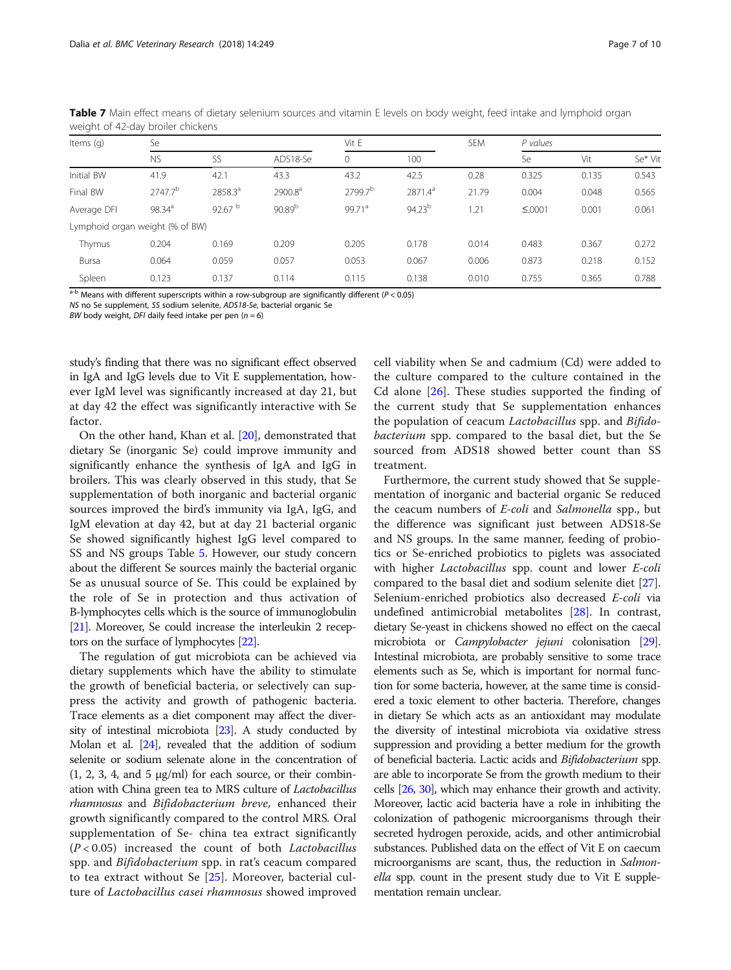| Items (g)                       | Se                  |           |                     | Vit E               |                     | <b>SEM</b> | P values    |       |         |  |
|---------------------------------|---------------------|-----------|---------------------|---------------------|---------------------|------------|-------------|-------|---------|--|
|                                 | <b>NS</b>           | SS        | ADS18-Se            | 0                   | 100                 |            | Se          | Vit   | Se* Vit |  |
| Initial BW                      | 41.9                | 42.1      | 43.3                | 43.2                | 42.5                | 0.28       | 0.325       | 0.135 | 0.543   |  |
| Final BW                        | 2747.7 <sup>b</sup> | 2858.3ª   | 2900.8 <sup>a</sup> | 2799.7 <sup>b</sup> | 2871.4 <sup>a</sup> | 21.79      | 0.004       | 0.048 | 0.565   |  |
| Average DFI                     | $98.34^{a}$         | 92.67 $b$ | 90.89 <sup>b</sup>  | 99.71 <sup>a</sup>  | $94.23^{b}$         | 1.21       | $\leq 0001$ | 0.001 | 0.061   |  |
| Lymphoid organ weight (% of BW) |                     |           |                     |                     |                     |            |             |       |         |  |
| Thymus                          | 0.204               | 0.169     | 0.209               | 0.205               | 0.178               | 0.014      | 0.483       | 0.367 | 0.272   |  |
| Bursa                           | 0.064               | 0.059     | 0.057               | 0.053               | 0.067               | 0.006      | 0.873       | 0.218 | 0.152   |  |
| Spleen                          | 0.123               | 0.137     | 0.114               | 0.115               | 0.138               | 0.010      | 0.755       | 0.365 | 0.788   |  |

<span id="page-6-0"></span>Table 7 Main effect means of dietary selenium sources and vitamin E levels on body weight, feed intake and lymphoid organ weight of 42-day broiler chickens

 $a-b$  Means with different superscripts within a row-subgroup are significantly different ( $P < 0.05$ )

NS no Se supplement, SS sodium selenite, ADS18-Se, bacterial organic Se

BW body weight, DFI daily feed intake per pen  $(n = 6)$ 

study's finding that there was no significant effect observed in IgA and IgG levels due to Vit E supplementation, however IgM level was significantly increased at day 21, but at day 42 the effect was significantly interactive with Se factor.

On the other hand, Khan et al. [\[20](#page-8-0)], demonstrated that dietary Se (inorganic Se) could improve immunity and significantly enhance the synthesis of IgA and IgG in broilers. This was clearly observed in this study, that Se supplementation of both inorganic and bacterial organic sources improved the bird's immunity via IgA, IgG, and IgM elevation at day 42, but at day 21 bacterial organic Se showed significantly highest IgG level compared to SS and NS groups Table [5](#page-4-0). However, our study concern about the different Se sources mainly the bacterial organic Se as unusual source of Se. This could be explained by the role of Se in protection and thus activation of B-lymphocytes cells which is the source of immunoglobulin [[21](#page-8-0)]. Moreover, Se could increase the interleukin 2 receptors on the surface of lymphocytes [\[22](#page-8-0)].

The regulation of gut microbiota can be achieved via dietary supplements which have the ability to stimulate the growth of beneficial bacteria, or selectively can suppress the activity and growth of pathogenic bacteria. Trace elements as a diet component may affect the diversity of intestinal microbiota [\[23\]](#page-8-0). A study conducted by Molan et al. [[24\]](#page-8-0), revealed that the addition of sodium selenite or sodium selenate alone in the concentration of  $(1, 2, 3, 4, \text{ and } 5 \text{ µg/ml})$  for each source, or their combination with China green tea to MRS culture of Lactobacillus rhamnosus and Bifidobacterium breve, enhanced their growth significantly compared to the control MRS. Oral supplementation of Se- china tea extract significantly  $(P < 0.05)$  increased the count of both Lactobacillus spp. and Bifidobacterium spp. in rat's ceacum compared to tea extract without Se [[25\]](#page-8-0). Moreover, bacterial culture of Lactobacillus casei rhamnosus showed improved cell viability when Se and cadmium (Cd) were added to the culture compared to the culture contained in the Cd alone [[26](#page-8-0)]. These studies supported the finding of the current study that Se supplementation enhances the population of ceacum Lactobacillus spp. and Bifidobacterium spp. compared to the basal diet, but the Se sourced from ADS18 showed better count than SS treatment.

Furthermore, the current study showed that Se supplementation of inorganic and bacterial organic Se reduced the ceacum numbers of E-coli and Salmonella spp., but the difference was significant just between ADS18-Se and NS groups. In the same manner, feeding of probiotics or Se-enriched probiotics to piglets was associated with higher *Lactobacillus* spp. count and lower *E-coli* compared to the basal diet and sodium selenite diet [\[27](#page-8-0)]. Selenium-enriched probiotics also decreased E-coli via undefined antimicrobial metabolites [\[28](#page-8-0)]. In contrast, dietary Se-yeast in chickens showed no effect on the caecal microbiota or Campylobacter jejuni colonisation [\[29](#page-8-0)]. Intestinal microbiota, are probably sensitive to some trace elements such as Se, which is important for normal function for some bacteria, however, at the same time is considered a toxic element to other bacteria. Therefore, changes in dietary Se which acts as an antioxidant may modulate the diversity of intestinal microbiota via oxidative stress suppression and providing a better medium for the growth of beneficial bacteria. Lactic acids and Bifidobacterium spp. are able to incorporate Se from the growth medium to their cells [\[26,](#page-8-0) [30](#page-8-0)], which may enhance their growth and activity. Moreover, lactic acid bacteria have a role in inhibiting the colonization of pathogenic microorganisms through their secreted hydrogen peroxide, acids, and other antimicrobial substances. Published data on the effect of Vit E on caecum microorganisms are scant, thus, the reduction in Salmonella spp. count in the present study due to Vit E supplementation remain unclear.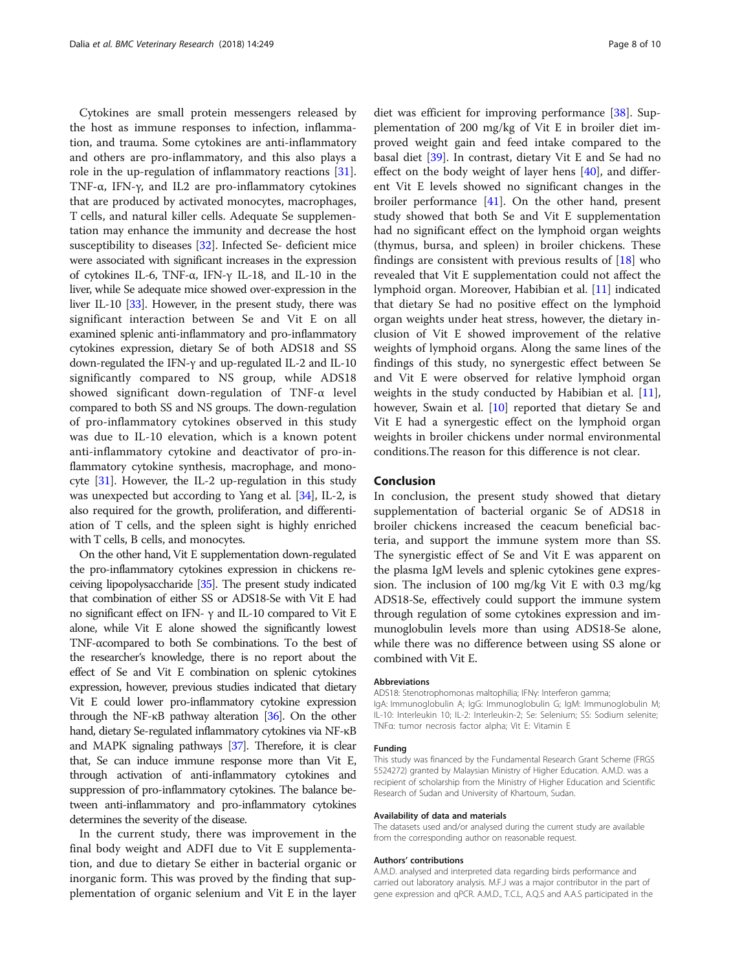Cytokines are small protein messengers released by the host as immune responses to infection, inflammation, and trauma. Some cytokines are anti-inflammatory and others are pro-inflammatory, and this also plays a role in the up-regulation of inflammatory reactions [\[31](#page-8-0)]. TNF-α, IFN-γ, and IL2 are pro-inflammatory cytokines that are produced by activated monocytes, macrophages, T cells, and natural killer cells. Adequate Se supplementation may enhance the immunity and decrease the host susceptibility to diseases [[32](#page-8-0)]. Infected Se- deficient mice were associated with significant increases in the expression of cytokines IL-6, TNF-α, IFN-γ IL-18, and IL-10 in the liver, while Se adequate mice showed over-expression in the liver IL-10 [[33](#page-8-0)]. However, in the present study, there was significant interaction between Se and Vit E on all examined splenic anti-inflammatory and pro-inflammatory cytokines expression, dietary Se of both ADS18 and SS down-regulated the IFN-γ and up-regulated IL-2 and IL-10 significantly compared to NS group, while ADS18 showed significant down-regulation of TNF-α level compared to both SS and NS groups. The down-regulation of pro-inflammatory cytokines observed in this study was due to IL-10 elevation, which is a known potent anti-inflammatory cytokine and deactivator of pro-inflammatory cytokine synthesis, macrophage, and monocyte [\[31\]](#page-8-0). However, the IL-2 up-regulation in this study was unexpected but according to Yang et al. [[34](#page-8-0)], IL-2, is also required for the growth, proliferation, and differentiation of T cells, and the spleen sight is highly enriched with T cells, B cells, and monocytes.

On the other hand, Vit E supplementation down-regulated the pro-inflammatory cytokines expression in chickens receiving lipopolysaccharide [\[35\]](#page-8-0). The present study indicated that combination of either SS or ADS18-Se with Vit E had no significant effect on IFN-  $γ$  and IL-10 compared to Vit E alone, while Vit E alone showed the significantly lowest TNF-αcompared to both Se combinations. To the best of the researcher's knowledge, there is no report about the effect of Se and Vit E combination on splenic cytokines expression, however, previous studies indicated that dietary Vit E could lower pro-inflammatory cytokine expression through the NF-κB pathway alteration [\[36](#page-8-0)]. On the other hand, dietary Se-regulated inflammatory cytokines via NF-κB and MAPK signaling pathways [[37\]](#page-8-0). Therefore, it is clear that, Se can induce immune response more than Vit E, through activation of anti-inflammatory cytokines and suppression of pro-inflammatory cytokines. The balance between anti-inflammatory and pro-inflammatory cytokines determines the severity of the disease.

In the current study, there was improvement in the final body weight and ADFI due to Vit E supplementation, and due to dietary Se either in bacterial organic or inorganic form. This was proved by the finding that supplementation of organic selenium and Vit E in the layer

diet was efficient for improving performance [\[38](#page-8-0)]. Supplementation of 200 mg/kg of Vit E in broiler diet improved weight gain and feed intake compared to the basal diet [[39\]](#page-8-0). In contrast, dietary Vit E and Se had no effect on the body weight of layer hens [\[40\]](#page-9-0), and different Vit E levels showed no significant changes in the broiler performance [\[41\]](#page-9-0). On the other hand, present study showed that both Se and Vit E supplementation had no significant effect on the lymphoid organ weights (thymus, bursa, and spleen) in broiler chickens. These findings are consistent with previous results of [[18\]](#page-8-0) who revealed that Vit E supplementation could not affect the lymphoid organ. Moreover, Habibian et al. [\[11](#page-8-0)] indicated that dietary Se had no positive effect on the lymphoid organ weights under heat stress, however, the dietary inclusion of Vit E showed improvement of the relative weights of lymphoid organs. Along the same lines of the findings of this study, no synergestic effect between Se and Vit E were observed for relative lymphoid organ weights in the study conducted by Habibian et al. [\[11](#page-8-0)], however, Swain et al. [\[10](#page-8-0)] reported that dietary Se and Vit E had a synergestic effect on the lymphoid organ weights in broiler chickens under normal environmental conditions.The reason for this difference is not clear.

## Conclusion

In conclusion, the present study showed that dietary supplementation of bacterial organic Se of ADS18 in broiler chickens increased the ceacum beneficial bacteria, and support the immune system more than SS. The synergistic effect of Se and Vit E was apparent on the plasma IgM levels and splenic cytokines gene expression. The inclusion of 100 mg/kg Vit E with 0.3 mg/kg ADS18-Se, effectively could support the immune system through regulation of some cytokines expression and immunoglobulin levels more than using ADS18-Se alone, while there was no difference between using SS alone or combined with Vit E.

#### Abbreviations

ADS18: Stenotrophomonas maltophilia; IFNγ: Interferon gamma; IgA: Immunoglobulin A; IgG: Immunoglobulin G; IgM: Immunoglobulin M; IL-10: Interleukin 10; IL-2: Interleukin-2; Se: Selenium; SS: Sodium selenite; TNFα: tumor necrosis factor alpha; Vit E: Vitamin E

#### Funding

This study was financed by the Fundamental Research Grant Scheme (FRGS 5524272) granted by Malaysian Ministry of Higher Education. A.M.D. was a recipient of scholarship from the Ministry of Higher Education and Scientific Research of Sudan and University of Khartoum, Sudan.

#### Availability of data and materials

The datasets used and/or analysed during the current study are available from the corresponding author on reasonable request.

#### Authors' contributions

A.M.D. analysed and interpreted data regarding birds performance and carried out laboratory analysis. M.F.J was a major contributor in the part of gene expression and qPCR. A.M.D., T.C.L, A.Q.S and A.A.S participated in the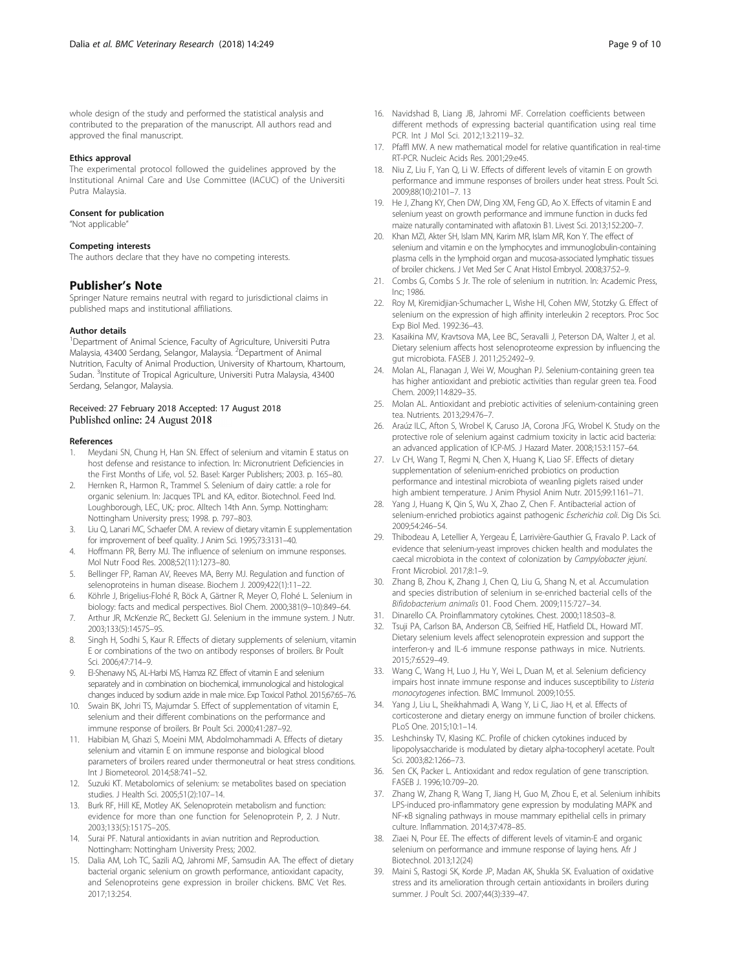#### <span id="page-8-0"></span>Ethics approval

The experimental protocol followed the guidelines approved by the Institutional Animal Care and Use Committee (IACUC) of the Universiti Putra Malaysia.

#### Consent for publication

"Not applicable"

#### Competing interests

The authors declare that they have no competing interests.

#### Publisher's Note

Springer Nature remains neutral with regard to jurisdictional claims in published maps and institutional affiliations.

#### Author details

<sup>1</sup>Department of Animal Science, Faculty of Agriculture, Universiti Putra Malaysia, 43400 Serdang, Selangor, Malaysia. <sup>2</sup>Department of Animal Nutrition, Faculty of Animal Production, University of Khartoum, Khartoum, Sudan. <sup>3</sup>Institute of Tropical Agriculture, Universiti Putra Malaysia, 43400 Serdang, Selangor, Malaysia.

#### Received: 27 February 2018 Accepted: 17 August 2018 Published online: 24 August 2018

#### References

- 1. Meydani SN, Chung H, Han SN. Effect of selenium and vitamin E status on host defense and resistance to infection. In: Micronutrient Deficiencies in the First Months of Life, vol. 52. Basel: Karger Publishers; 2003. p. 165–80.
- 2. Hernken R., Harmon R., Trammel S. Selenium of dairy cattle: a role for organic selenium. In: Jacques TPL and KA, editor. Biotechnol. Feed Ind. Loughborough, LEC, UK,: proc. Alltech 14th Ann. Symp. Nottingham: Nottingham University press; 1998. p. 797–803.
- 3. Liu Q, Lanari MC, Schaefer DM. A review of dietary vitamin E supplementation for improvement of beef quality. J Anim Sci. 1995;73:3131–40.
- 4. Hoffmann PR, Berry MJ. The influence of selenium on immune responses. Mol Nutr Food Res. 2008;52(11):1273–80.
- 5. Bellinger FP, Raman AV, Reeves MA, Berry MJ. Regulation and function of selenoproteins in human disease. Biochem J. 2009;422(1):11–22.
- 6. Köhrle J, Brigelius-Flohé R, Böck A, Gärtner R, Meyer O, Flohé L. Selenium in biology: facts and medical perspectives. Biol Chem. 2000;381(9–10):849–64.
- 7. Arthur JR, McKenzie RC, Beckett GJ. Selenium in the immune system. J Nutr. 2003;133(5):1457S–9S.
- Singh H, Sodhi S, Kaur R. Effects of dietary supplements of selenium, vitamin E or combinations of the two on antibody responses of broilers. Br Poult Sci. 2006;47:714–9.
- 9. El-Shenawy NS, AL-Harbi MS, Hamza RZ. Effect of vitamin E and selenium separately and in combination on biochemical, immunological and histological changes induced by sodium azide in male mice. Exp Toxicol Pathol. 2015;67:65–76.
- 10. Swain BK, Johri TS, Majumdar S. Effect of supplementation of vitamin E, selenium and their different combinations on the performance and immune response of broilers. Br Poult Sci. 2000;41:287–92.
- 11. Habibian M, Ghazi S, Moeini MM, Abdolmohammadi A. Effects of dietary selenium and vitamin E on immune response and biological blood parameters of broilers reared under thermoneutral or heat stress conditions. Int J Biometeorol. 2014;58:741–52.
- 12. Suzuki KT. Metabolomics of selenium: se metabolites based on speciation studies. J Health Sci. 2005;51(2):107–14.
- 13. Burk RF, Hill KE, Motley AK. Selenoprotein metabolism and function: evidence for more than one function for Selenoprotein P, 2. J Nutr. 2003;133(5):1517S–20S.
- 14. Surai PF. Natural antioxidants in avian nutrition and Reproduction. Nottingham: Nottingham University Press; 2002.
- 15. Dalia AM, Loh TC, Sazili AQ, Jahromi MF, Samsudin AA. The effect of dietary bacterial organic selenium on growth performance, antioxidant capacity, and Selenoproteins gene expression in broiler chickens. BMC Vet Res. 2017;13:254.
- 16. Navidshad B, Liang JB, Jahromi MF. Correlation coefficients between different methods of expressing bacterial quantification using real time PCR. Int J Mol Sci. 2012;13:2119–32.
- 17. Pfaffl MW. A new mathematical model for relative quantification in real-time RT-PCR. Nucleic Acids Res. 2001;29:e45.
- 18. Niu Z, Liu F, Yan Q, Li W. Effects of different levels of vitamin E on growth performance and immune responses of broilers under heat stress. Poult Sci. 2009;88(10):2101–7. 13
- 19. He J, Zhang KY, Chen DW, Ding XM, Feng GD, Ao X. Effects of vitamin E and selenium yeast on growth performance and immune function in ducks fed maize naturally contaminated with aflatoxin B1. Livest Sci. 2013;152:200–7.
- 20. Khan MZI, Akter SH, Islam MN, Karim MR, Islam MR, Kon Y. The effect of selenium and vitamin e on the lymphocytes and immunoglobulin-containing plasma cells in the lymphoid organ and mucosa-associated lymphatic tissues of broiler chickens. J Vet Med Ser C Anat Histol Embryol. 2008;37:52–9.
- 21. Combs G, Combs S Jr. The role of selenium in nutrition. In: Academic Press, Inc; 1986.
- 22. Roy M, Kiremidjian-Schumacher L, Wishe HI, Cohen MW, Stotzky G. Effect of selenium on the expression of high affinity interleukin 2 receptors. Proc Soc Exp Biol Med. 1992:36–43.
- 23. Kasaikina MV, Kravtsova MA, Lee BC, Seravalli J, Peterson DA, Walter J, et al. Dietary selenium affects host selenoproteome expression by influencing the gut microbiota. FASEB J. 2011;25:2492–9.
- 24. Molan AL, Flanagan J, Wei W, Moughan PJ. Selenium-containing green tea has higher antioxidant and prebiotic activities than regular green tea. Food Chem. 2009;114:829–35.
- 25. Molan AL. Antioxidant and prebiotic activities of selenium-containing green tea. Nutrients. 2013;29:476–7.
- 26. Araúz ILC, Afton S, Wrobel K, Caruso JA, Corona JFG, Wrobel K. Study on the protective role of selenium against cadmium toxicity in lactic acid bacteria: an advanced application of ICP-MS. J Hazard Mater. 2008;153:1157–64.
- 27. Lv CH, Wang T, Regmi N, Chen X, Huang K, Liao SF. Effects of dietary supplementation of selenium-enriched probiotics on production performance and intestinal microbiota of weanling piglets raised under high ambient temperature. J Anim Physiol Anim Nutr. 2015;99:1161–71.
- 28. Yang J, Huang K, Qin S, Wu X, Zhao Z, Chen F. Antibacterial action of selenium-enriched probiotics against pathogenic Escherichia coli. Dig Dis Sci. 2009;54:246–54.
- 29. Thibodeau A, Letellier A, Yergeau É, Larrivière-Gauthier G, Fravalo P. Lack of evidence that selenium-yeast improves chicken health and modulates the caecal microbiota in the context of colonization by Campylobacter jejuni. Front Microbiol. 2017;8:1–9.
- 30. Zhang B, Zhou K, Zhang J, Chen Q, Liu G, Shang N, et al. Accumulation and species distribution of selenium in se-enriched bacterial cells of the Bifidobacterium animalis 01. Food Chem. 2009;115:727–34.
- 31. Dinarello CA. Proinflammatory cytokines. Chest. 2000;118:503–8.
- 32. Tsuji PA, Carlson BA, Anderson CB, Seifried HE, Hatfield DL, Howard MT. Dietary selenium levels affect selenoprotein expression and support the interferon-γ and IL-6 immune response pathways in mice. Nutrients. 2015;7:6529–49.
- 33. Wang C, Wang H, Luo J, Hu Y, Wei L, Duan M, et al. Selenium deficiency impairs host innate immune response and induces susceptibility to Listeria monocytogenes infection. BMC Immunol. 2009;10:55.
- 34. Yang J, Liu L, Sheikhahmadi A, Wang Y, Li C, Jiao H, et al. Effects of corticosterone and dietary energy on immune function of broiler chickens. PLoS One. 2015;10:1–14.
- 35. Leshchinsky TV, Klasing KC. Profile of chicken cytokines induced by lipopolysaccharide is modulated by dietary alpha-tocopheryl acetate. Poult Sci. 2003;82:1266–73.
- 36. Sen CK, Packer L. Antioxidant and redox regulation of gene transcription. FASEB J. 1996;10:709–20.
- 37. Zhang W, Zhang R, Wang T, Jiang H, Guo M, Zhou E, et al. Selenium inhibits LPS-induced pro-inflammatory gene expression by modulating MAPK and NF-κB signaling pathways in mouse mammary epithelial cells in primary culture. Inflammation. 2014;37:478–85.
- 38. Ziaei N, Pour EE. The effects of different levels of vitamin-E and organic selenium on performance and immune response of laying hens. Afr J Biotechnol. 2013;12(24)
- 39. Maini S, Rastogi SK, Korde JP, Madan AK, Shukla SK. Evaluation of oxidative stress and its amelioration through certain antioxidants in broilers during summer. J Poult Sci. 2007;44(3):339–47.